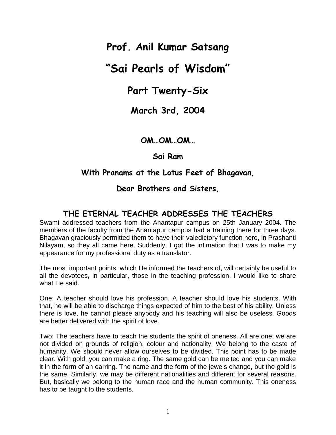# **Prof. Anil Kumar Satsang**

# **"Sai Pearls of Wisdom"**

# **Part Twenty-Six**

## **March 3rd, 2004**

#### **OM…OM…OM…**

#### **Sai Ram**

#### **With Pranams at the Lotus Feet of Bhagavan,**

#### **Dear Brothers and Sisters,**

# **THE ETERNAL TEACHER ADDRESSES THE TEACHERS**

Swami addressed teachers from the Anantapur campus on 25th January 2004. The members of the faculty from the Anantapur campus had a training there for three days. Bhagavan graciously permitted them to have their valedictory function here, in Prashanti Nilayam, so they all came here. Suddenly, I got the intimation that I was to make my appearance for my professional duty as a translator.

The most important points, which He informed the teachers of, will certainly be useful to all the devotees, in particular, those in the teaching profession. I would like to share what He said.

One: A teacher should love his profession. A teacher should love his students. With that, he will be able to discharge things expected of him to the best of his ability. Unless there is love, he cannot please anybody and his teaching will also be useless. Goods are better delivered with the spirit of love.

Two: The teachers have to teach the students the spirit of oneness. All are one; we are not divided on grounds of religion, colour and nationality. We belong to the caste of humanity. We should never allow ourselves to be divided. This point has to be made clear. With gold, you can make a ring. The same gold can be melted and you can make it in the form of an earring. The name and the form of the jewels change, but the gold is the same. Similarly, we may be different nationalities and different for several reasons. But, basically we belong to the human race and the human community. This oneness has to be taught to the students.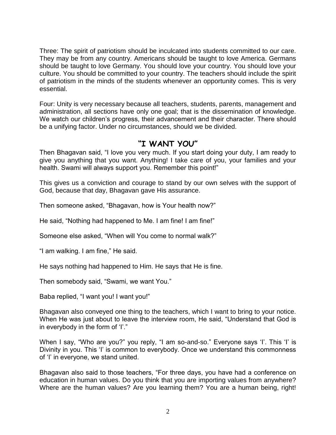Three: The spirit of patriotism should be inculcated into students committed to our care. They may be from any country. Americans should be taught to love America. Germans should be taught to love Germany. You should love your country. You should love your culture. You should be committed to your country. The teachers should include the spirit of patriotism in the minds of the students whenever an opportunity comes. This is very essential.

Four: Unity is very necessary because all teachers, students, parents, management and administration, all sections have only one goal; that is the dissemination of knowledge. We watch our children's progress, their advancement and their character. There should be a unifying factor. Under no circumstances, should we be divided.

#### **"I WANT YOU"**

Then Bhagavan said, "I love you very much. If you start doing your duty, I am ready to give you anything that you want. Anything! I take care of you, your families and your health. Swami will always support you. Remember this point!"

This gives us a conviction and courage to stand by our own selves with the support of God, because that day, Bhagavan gave His assurance.

Then someone asked, "Bhagavan, how is Your health now?"

He said, "Nothing had happened to Me. I am fine! I am fine!"

Someone else asked, "When will You come to normal walk?"

"I am walking. I am fine," He said.

He says nothing had happened to Him. He says that He is fine.

Then somebody said, "Swami, we want You."

Baba replied, "I want you! I want you!"

Bhagavan also conveyed one thing to the teachers, which I want to bring to your notice. When He was just about to leave the interview room, He said, "Understand that God is in everybody in the form of  $T$ ."

When I say, "Who are you?" you reply, "I am so-and-so." Everyone says 'I'. This 'I' is Divinity in you. This 'I' is common to everybody. Once we understand this commonness of 'I' in everyone, we stand united.

Bhagavan also said to those teachers, "For three days, you have had a conference on education in human values. Do you think that you are importing values from anywhere? Where are the human values? Are you learning them? You are a human being, right!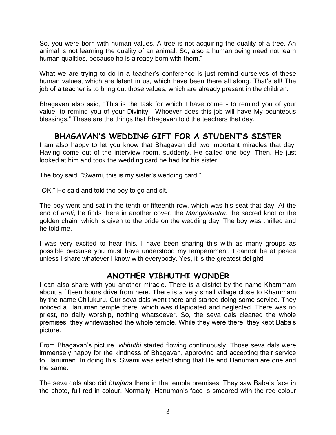So, you were born with human values. A tree is not acquiring the quality of a tree. An animal is not learning the quality of an animal. So, also a human being need not learn human qualities, because he is already born with them."

What we are trying to do in a teacher's conference is just remind ourselves of these human values, which are latent in us, which have been there all along. That's all! The job of a teacher is to bring out those values, which are already present in the children.

Bhagavan also said, "This is the task for which I have come - to remind you of your value, to remind you of your Divinity. Whoever does this job will have My bounteous blessings." These are the things that Bhagavan told the teachers that day.

# **BHAGAVAN'S WEDDING GIFT FOR A STUDENT'S SISTER**

I am also happy to let you know that Bhagavan did two important miracles that day. Having come out of the interview room, suddenly, He called one boy. Then, He just looked at him and took the wedding card he had for his sister.

The boy said, "Swami, this is my sister's wedding card."

"OK," He said and told the boy to go and sit.

The boy went and sat in the tenth or fifteenth row, which was his seat that day. At the end of *arati*, he finds there in another cover, the *Mangalasutra*, the sacred knot or the golden chain, which is given to the bride on the wedding day. The boy was thrilled and he told me.

I was very excited to hear this. I have been sharing this with as many groups as possible because you must have understood my temperament. I cannot be at peace unless I share whatever I know with everybody. Yes, it is the greatest delight!

## **ANOTHER VIBHUTHI WONDER**

I can also share with you another miracle. There is a district by the name Khammam about a fifteen hours drive from here. There is a very small village close to Khammam by the name Chilukuru. Our seva dals went there and started doing some service. They noticed a Hanuman temple there, which was dilapidated and neglected. There was no priest, no daily worship, nothing whatsoever. So, the seva dals cleaned the whole premises; they whitewashed the whole temple. While they were there, they kept Baba"s picture.

From Bhagavan"s picture, *vibhuthi* started flowing continuously. Those seva dals were immensely happy for the kindness of Bhagavan, approving and accepting their service to Hanuman. In doing this, Swami was establishing that He and Hanuman are one and the same.

The seva dals also did *bhajan*s there in the temple premises. They saw Baba"s face in the photo, full red in colour. Normally, Hanuman"s face is smeared with the red colour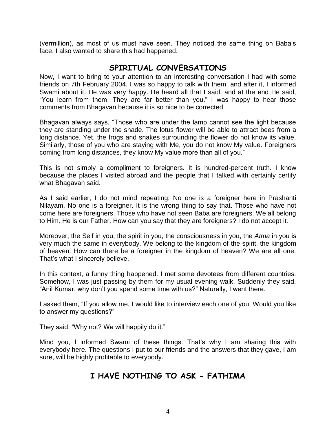(vermillion), as most of us must have seen. They noticed the same thing on Baba"s face. I also wanted to share this had happened.

#### **SPIRITUAL CONVERSATIONS**

Now, I want to bring to your attention to an interesting conversation I had with some friends on 7th February 2004. I was so happy to talk with them, and after it, I informed Swami about it. He was very happy. He heard all that I said, and at the end He said, "You learn from them. They are far better than you." I was happy to hear those comments from Bhagavan because it is so nice to be corrected.

Bhagavan always says, "Those who are under the lamp cannot see the light because they are standing under the shade. The lotus flower will be able to attract bees from a long distance. Yet, the frogs and snakes surrounding the flower do not know its value. Similarly, those of you who are staying with Me, you do not know My value. Foreigners coming from long distances, they know My value more than all of you."

This is not simply a compliment to foreigners. It is hundred-percent truth. I know because the places I visited abroad and the people that I talked with certainly certify what Bhagavan said.

As I said earlier, I do not mind repeating: No one is a foreigner here in Prashanti Nilayam. No one is a foreigner. It is the wrong thing to say that. Those who have not come here are foreigners. Those who have not seen Baba are foreigners. We all belong to Him. He is our Father. How can you say that they are foreigners? I do not accept it.

Moreover, the Self in you, the spirit in you, the consciousness in you, the *Atma* in you is very much the same in everybody. We belong to the kingdom of the spirit, the kingdom of heaven. How can there be a foreigner in the kingdom of heaven? We are all one. That"s what I sincerely believe.

In this context, a funny thing happened. I met some devotees from different countries. Somehow, I was just passing by them for my usual evening walk. Suddenly they said, "Anil Kumar, why don"t you spend some time with us?" Naturally, I went there.

I asked them, "If you allow me, I would like to interview each one of you. Would you like to answer my questions?"

They said, "Why not? We will happily do it."

Mind you, I informed Swami of these things. That's why I am sharing this with everybody here. The questions I put to our friends and the answers that they gave, I am sure, will be highly profitable to everybody.

## **I HAVE NOTHING TO ASK - FATHIMA**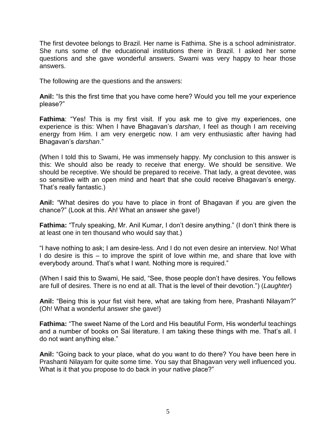The first devotee belongs to Brazil. Her name is Fathima. She is a school administrator. She runs some of the educational institutions there in Brazil. I asked her some questions and she gave wonderful answers. Swami was very happy to hear those answers.

The following are the questions and the answers:

**Anil:** "Is this the first time that you have come here? Would you tell me your experience please?"

**Fathima**: "Yes! This is my first visit. If you ask me to give my experiences, one experience is this: When I have Bhagavan"s *darshan*, I feel as though I am receiving energy from Him. I am very energetic now. I am very enthusiastic after having had Bhagavan"s *darshan*."

(When I told this to Swami, He was immensely happy. My conclusion to this answer is this: We should also be ready to receive that energy. We should be sensitive. We should be receptive. We should be prepared to receive. That lady, a great devotee, was so sensitive with an open mind and heart that she could receive Bhagavan's energy. That"s really fantastic.)

**Anil:** "What desires do you have to place in front of Bhagavan if you are given the chance?" (Look at this. Ah! What an answer she gave!)

**Fathima:** "Truly speaking, Mr. Anil Kumar, I don't desire anything." (I don't think there is at least one in ten thousand who would say that.)

"I have nothing to ask; I am desire-less. And I do not even desire an interview. No! What I do desire is this – to improve the spirit of love within me, and share that love with everybody around. That's what I want. Nothing more is required."

(When I said this to Swami, He said, "See, those people don"t have desires. You fellows are full of desires. There is no end at all. That is the level of their devotion.") (*Laughter*)

**Anil:** "Being this is your fist visit here, what are taking from here, Prashanti Nilayam?" (Oh! What a wonderful answer she gave!)

**Fathima:** "The sweet Name of the Lord and His beautiful Form, His wonderful teachings and a number of books on Sai literature. I am taking these things with me. That's all. I do not want anything else."

**Anil:** "Going back to your place, what do you want to do there? You have been here in Prashanti Nilayam for quite some time. You say that Bhagavan very well influenced you. What is it that you propose to do back in your native place?"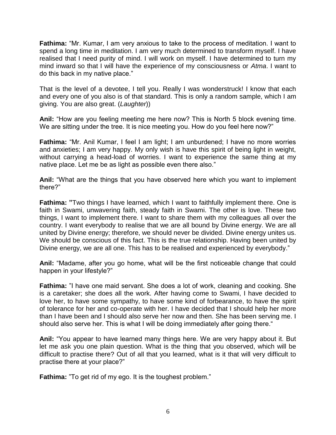**Fathima:** "Mr. Kumar, I am very anxious to take to the process of meditation. I want to spend a long time in meditation. I am very much determined to transform myself. I have realised that I need purity of mind. I will work on myself. I have determined to turn my mind inward so that I will have the experience of my consciousness or *Atma*. I want to do this back in my native place."

That is the level of a devotee, I tell you. Really I was wonderstruck! I know that each and every one of you also is of that standard. This is only a random sample, which I am giving. You are also great. (*Laughter*))

**Anil:** "How are you feeling meeting me here now? This is North 5 block evening time. We are sitting under the tree. It is nice meeting you. How do you feel here now?"

**Fathima:** "Mr. Anil Kumar, I feel I am light; I am unburdened; I have no more worries and anxieties; I am very happy. My only wish is have this spirit of being light in weight, without carrying a head-load of worries. I want to experience the same thing at my native place. Let me be as light as possible even there also."

**Anil:** "What are the things that you have observed here which you want to implement there?"

**Fathima: "**Two things I have learned, which I want to faithfully implement there. One is faith in Swami, unwavering faith, steady faith in Swami. The other is love. These two things, I want to implement there. I want to share them with my colleagues all over the country. I want everybody to realise that we are all bound by Divine energy. We are all united by Divine energy; therefore, we should never be divided. Divine energy unites us. We should be conscious of this fact. This is the true relationship. Having been united by Divine energy, we are all one. This has to be realised and experienced by everybody."

**Anil:** "Madame, after you go home, what will be the first noticeable change that could happen in your lifestyle?"

**Fathima:** "I have one maid servant. She does a lot of work, cleaning and cooking. She is a caretaker; she does all the work. After having come to Swami, I have decided to love her, to have some sympathy, to have some kind of forbearance, to have the spirit of tolerance for her and co-operate with her. I have decided that I should help her more than I have been and I should also serve her now and then. She has been serving me. I should also serve her. This is what I will be doing immediately after going there."

**Anil:** "You appear to have learned many things here. We are very happy about it. But let me ask you one plain question. What is the thing that you observed, which will be difficult to practise there? Out of all that you learned, what is it that will very difficult to practise there at your place?"

**Fathima:** "To get rid of my ego. It is the toughest problem."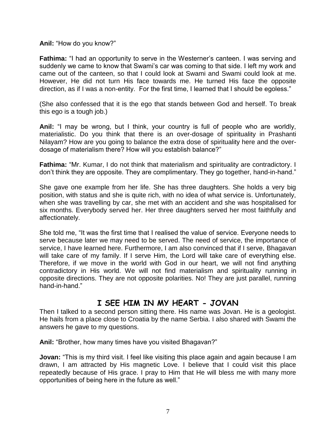**Anil:** "How do you know?"

**Fathima:** "I had an opportunity to serve in the Westerner's canteen. I was serving and suddenly we came to know that Swami"s car was coming to that side. I left my work and came out of the canteen, so that I could look at Swami and Swami could look at me. However, He did not turn His face towards me. He turned His face the opposite direction, as if I was a non-entity. For the first time, I learned that I should be egoless."

(She also confessed that it is the ego that stands between God and herself. To break this ego is a tough job.)

**Anil:** "I may be wrong, but I think, your country is full of people who are worldly, materialistic. Do you think that there is an over-dosage of spirituality in Prashanti Nilayam? How are you going to balance the extra dose of spirituality here and the overdosage of materialism there? How will you establish balance?"

**Fathima:** "Mr. Kumar, I do not think that materialism and spirituality are contradictory. I don"t think they are opposite. They are complimentary. They go together, hand-in-hand."

She gave one example from her life. She has three daughters. She holds a very big position, with status and she is quite rich, with no idea of what service is. Unfortunately, when she was travelling by car, she met with an accident and she was hospitalised for six months. Everybody served her. Her three daughters served her most faithfully and affectionately.

She told me, "It was the first time that I realised the value of service. Everyone needs to serve because later we may need to be served. The need of service, the importance of service, I have learned here. Furthermore, I am also convinced that if I serve, Bhagavan will take care of my family. If I serve Him, the Lord will take care of everything else. Therefore, if we move in the world with God in our heart, we will not find anything contradictory in His world. We will not find materialism and spirituality running in opposite directions. They are not opposite polarities. No! They are just parallel, running hand-in-hand."

## **I SEE HIM IN MY HEART - JOVAN**

Then I talked to a second person sitting there. His name was Jovan. He is a geologist. He hails from a place close to Croatia by the name Serbia. I also shared with Swami the answers he gave to my questions.

**Anil:** "Brother, how many times have you visited Bhagavan?"

**Jovan:** "This is my third visit. I feel like visiting this place again and again because I am drawn, I am attracted by His magnetic Love. I believe that I could visit this place repeatedly because of His grace. I pray to Him that He will bless me with many more opportunities of being here in the future as well."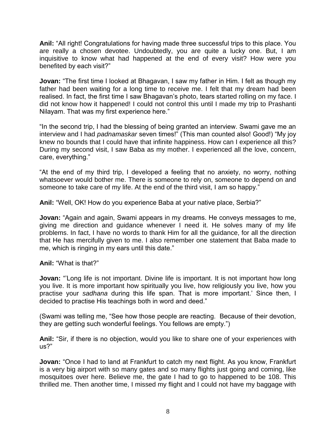**Anil:** "All right! Congratulations for having made three successful trips to this place. You are really a chosen devotee. Undoubtedly, you are quite a lucky one. But, I am inquisitive to know what had happened at the end of every visit? How were you benefited by each visit?"

**Jovan:** "The first time I looked at Bhagavan, I saw my father in Him. I felt as though my father had been waiting for a long time to receive me. I felt that my dream had been realised. In fact, the first time I saw Bhagavan"s photo, tears started rolling on my face. I did not know how it happened! I could not control this until I made my trip to Prashanti Nilayam. That was my first experience here."

"In the second trip, I had the blessing of being granted an interview. Swami gave me an interview and I had *padnamaskar* seven times!" (This man counted also! Good!) "My joy knew no bounds that I could have that infinite happiness. How can I experience all this? During my second visit, I saw Baba as my mother. I experienced all the love, concern, care, everything."

"At the end of my third trip, I developed a feeling that no anxiety, no worry, nothing whatsoever would bother me. There is someone to rely on, someone to depend on and someone to take care of my life. At the end of the third visit, I am so happy."

**Anil:** "Well, OK! How do you experience Baba at your native place, Serbia?"

**Jovan:** "Again and again, Swami appears in my dreams. He conveys messages to me, giving me direction and guidance whenever I need it. He solves many of my life problems. In fact, I have no words to thank Him for all the guidance, for all the direction that He has mercifully given to me. I also remember one statement that Baba made to me, which is ringing in my ears until this date."

**Anil:** "What is that?"

**Jovan:** "Long life is not important. Divine life is important. It is not important how long you live. It is more important how spiritually you live, how religiously you live, how you practise your *sadhana* during this life span. That is more important." Since then, I decided to practise His teachings both in word and deed."

(Swami was telling me, "See how those people are reacting. Because of their devotion, they are getting such wonderful feelings. You fellows are empty.")

**Anil:** "Sir, if there is no objection, would you like to share one of your experiences with us?"

**Jovan:** "Once I had to land at Frankfurt to catch my next flight. As you know, Frankfurt is a very big airport with so many gates and so many flights just going and coming, like mosquitoes over here. Believe me, the gate I had to go to happened to be 108. This thrilled me. Then another time, I missed my flight and I could not have my baggage with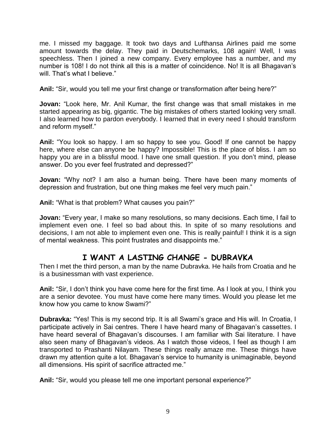me. I missed my baggage. It took two days and Lufthansa Airlines paid me some amount towards the delay. They paid in Deutschemarks, 108 again! Well, I was speechless. Then I joined a new company. Every employee has a number, and my number is 108! I do not think all this is a matter of coincidence. No! It is all Bhagavan"s will. That's what I believe."

**Anil:** "Sir, would you tell me your first change or transformation after being here?"

**Jovan:** "Look here, Mr. Anil Kumar, the first change was that small mistakes in me started appearing as big, gigantic. The big mistakes of others started looking very small. I also learned how to pardon everybody. I learned that in every need I should transform and reform myself."

**Anil:** "You look so happy. I am so happy to see you. Good! If one cannot be happy here, where else can anyone be happy? Impossible! This is the place of bliss. I am so happy you are in a blissful mood. I have one small question. If you don"t mind, please answer. Do you ever feel frustrated and depressed?"

**Jovan:** "Why not? I am also a human being. There have been many moments of depression and frustration, but one thing makes me feel very much pain."

**Anil:** "What is that problem? What causes you pain?"

**Jovan:** "Every year, I make so many resolutions, so many decisions. Each time, I fail to implement even one. I feel so bad about this. In spite of so many resolutions and decisions, I am not able to implement even one. This is really painful! I think it is a sign of mental weakness. This point frustrates and disappoints me."

# **I WANT A LASTING CHANGE - DUBRAVKA**

Then I met the third person, a man by the name Dubravka. He hails from Croatia and he is a businessman with vast experience.

**Anil:** "Sir, I don"t think you have come here for the first time. As I look at you, I think you are a senior devotee. You must have come here many times. Would you please let me know how you came to know Swami?"

**Dubravka:** "Yes! This is my second trip. It is all Swami's grace and His will. In Croatia, I participate actively in Sai centres. There I have heard many of Bhagavan's cassettes. I have heard several of Bhagavan's discourses. I am familiar with Sai literature. I have also seen many of Bhagavan"s videos. As I watch those videos, I feel as though I am transported to Prashanti Nilayam. These things really amaze me. These things have drawn my attention quite a lot. Bhagavan"s service to humanity is unimaginable, beyond all dimensions. His spirit of sacrifice attracted me."

**Anil:** "Sir, would you please tell me one important personal experience?"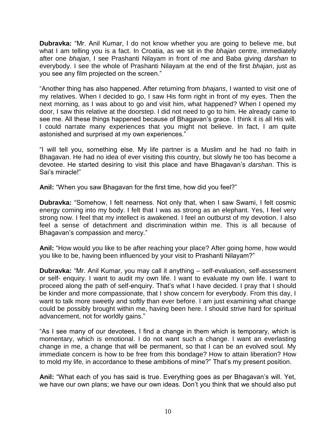**Dubravka:** "Mr. Anil Kumar, I do not know whether you are going to believe me, but what I am telling you is a fact. In Croatia, as we sit in the *bhajan* centre, immediately after one *bhajan*, I see Prashanti Nilayam in front of me and Baba giving *darshan* to everybody. I see the whole of Prashanti Nilayam at the end of the first *bhajan*, just as you see any film projected on the screen."

"Another thing has also happened. After returning from *bhajans*, I wanted to visit one of my relatives. When I decided to go, I saw His form right in front of my eyes. Then the next morning, as I was about to go and visit him, what happened? When I opened my door, I saw this relative at the doorstep. I did not need to go to him. He already came to see me. All these things happened because of Bhagavan's grace. I think it is all His will. I could narrate many experiences that you might not believe. In fact, I am quite astonished and surprised at my own experiences."

"I will tell you, something else. My life partner is a Muslim and he had no faith in Bhagavan. He had no idea of ever visiting this country, but slowly he too has become a devotee. He started desiring to visit this place and have Bhagavan"s *darshan*. This is Sai"s miracle!"

**Anil:** "When you saw Bhagavan for the first time, how did you feel?"

**Dubravka:** "Somehow, I felt nearness. Not only that, when I saw Swami, I felt cosmic energy coming into my body. I felt that I was as strong as an elephant. Yes, I feel very strong now. I feel that my intellect is awakened. I feel an outburst of my devotion. I also feel a sense of detachment and discrimination within me. This is all because of Bhagavan"s compassion and mercy."

**Anil:** "How would you like to be after reaching your place? After going home, how would you like to be, having been influenced by your visit to Prashanti Nilayam?"

**Dubravka:** "Mr. Anil Kumar, you may call it anything – self-evaluation, self-assessment or self- enquiry. I want to audit my own life. I want to evaluate my own life. I want to proceed along the path of self-enquiry. That"s what I have decided. I pray that I should be kinder and more compassionate, that I show concern for everybody. From this day, I want to talk more sweetly and softly than ever before. I am just examining what change could be possibly brought within me, having been here. I should strive hard for spiritual advancement, not for worldly gains."

"As I see many of our devotees, I find a change in them which is temporary, which is momentary, which is emotional. I do not want such a change. I want an everlasting change in me, a change that will be permanent, so that I can be an evolved soul. My immediate concern is how to be free from this bondage? How to attain liberation? How to mold my life, in accordance to these ambitions of mine?" That's my present position.

**Anil:** "What each of you has said is true. Everything goes as per Bhagavan"s will. Yet, we have our own plans; we have our own ideas. Don"t you think that we should also put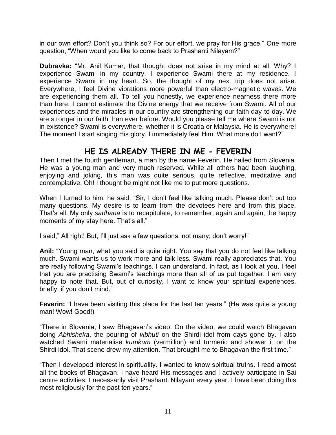in our own effort? Don"t you think so? For our effort, we pray for His grace." One more question, "When would you like to come back to Prashanti Nilayam?"

**Dubravka:** "Mr. Anil Kumar, that thought does not arise in my mind at all. Why? I experience Swami in my country. I experience Swami there at my residence. I experience Swami in my heart. So, the thought of my next trip does not arise. Everywhere, I feel Divine vibrations more powerful than electro-magnetic waves. We are experiencing them all. To tell you honestly, we experience nearness there more than here. I cannot estimate the Divine energy that we receive from Swami. All of our experiences and the miracles in our country are strengthening our faith day-to-day. We are stronger in our faith than ever before. Would you please tell me where Swami is not in existence? Swami is everywhere, whether it is Croatia or Malaysia. He is everywhere! The moment I start singing His glory, I immediately feel Him. What more do I want?"

## **HE IS ALREADY THERE IN ME - FEVERIN**

Then I met the fourth gentleman, a man by the name Feverin. He hailed from Slovenia. He was a young man and very much reserved. While all others had been laughing, enjoying and joking, this man was quite serious, quite reflective, meditative and contemplative. Oh! I thought he might not like me to put more questions.

When I turned to him, he said, "Sir, I don"t feel like talking much. Please don"t put too many questions. My desire is to learn from the devotees here and from this place. That"s all. My only *sadhana* is to recapitulate, to remember, again and again, the happy moments of my stay here. That's all."

I said," All right! But, I'll just ask a few questions, not many; don't worry!"

**Anil:** "Young man, what you said is quite right. You say that you do not feel like talking much. Swami wants us to work more and talk less. Swami really appreciates that. You are really following Swami"s teachings. I can understand. In fact, as I look at you, I feel that you are practising Swami"s teachings more than all of us put together. I am very happy to note that. But, out of curiosity, I want to know your spiritual experiences, briefly, if you don't mind."

**Feverin:** "I have been visiting this place for the last ten years." (He was quite a young man! Wow! Good!)

"There in Slovenia, I saw Bhagavan"s video. On the video, we could watch Bhagavan doing *Abhisheka*, the pouring of *vibhuti* on the Shirdi idol from days gone by. I also watched Swami materialise *kumkum* (vermillion) and turmeric and shower it on the Shirdi idol. That scene drew my attention. That brought me to Bhagavan the first time."

"Then I developed interest in spirituality. I wanted to know spiritual truths. I read almost all the books of Bhagavan. I have heard His messages and I actively participate in Sai centre activities. I necessarily visit Prashanti Nilayam every year. I have been doing this most religiously for the past ten years."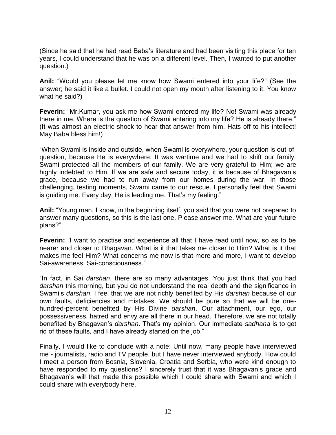(Since he said that he had read Baba"s literature and had been visiting this place for ten years, I could understand that he was on a different level. Then, I wanted to put another question.)

**Anil:** "Would you please let me know how Swami entered into your life?" (See the answer; he said it like a bullet. I could not open my mouth after listening to it. You know what he said?)

**Feverin:** "Mr.Kumar, you ask me how Swami entered my life? No! Swami was already there in me. Where is the question of Swami entering into my life? He is already there." (It was almost an electric shock to hear that answer from him. Hats off to his intellect! May Baba bless him!)

"When Swami is inside and outside, when Swami is everywhere, your question is out-ofquestion, because He is everywhere. It was wartime and we had to shift our family. Swami protected all the members of our family. We are very grateful to Him; we are highly indebted to Him. If we are safe and secure today, it is because of Bhagavan"s grace, because we had to run away from our homes during the war. In those challenging, testing moments, Swami came to our rescue. I personally feel that Swami is guiding me. Every day, He is leading me. That's my feeling."

**Anil:** "Young man, I know, in the beginning itself, you said that you were not prepared to answer many questions, so this is the last one. Please answer me. What are your future plans?"

**Feverin:** "I want to practise and experience all that I have read until now, so as to be nearer and closer to Bhagavan. What is it that takes me closer to Him? What is it that makes me feel Him? What concerns me now is that more and more, I want to develop Sai-awareness, Sai-consciousness."

"In fact, in Sai *darshan*, there are so many advantages. You just think that you had *darshan* this morning, but you do not understand the real depth and the significance in Swami"s *darshan*. I feel that we are not richly benefited by His *darshan* because of our own faults, deficiencies and mistakes. We should be pure so that we will be onehundred-percent benefited by His Divine *darshan*. Our attachment, our ego, our possessiveness, hatred and envy are all there in our head. Therefore, we are not totally benefited by Bhagavan"s *darshan*. That"s my opinion. Our immediate *sadhana* is to get rid of these faults, and I have already started on the job."

Finally, I would like to conclude with a note: Until now, many people have interviewed me - journalists, radio and TV people, but I have never interviewed anybody. How could I meet a person from Bosnia, Slovenia, Croatia and Serbia, who were kind enough to have responded to my questions? I sincerely trust that it was Bhagavan's grace and Bhagavan"s will that made this possible which I could share with Swami and which I could share with everybody here.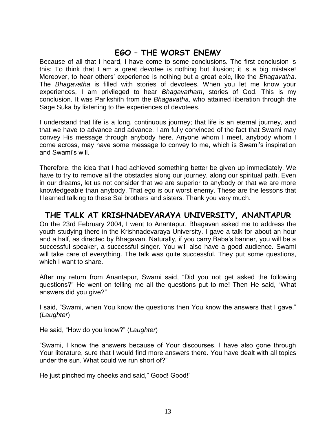# **EGO – THE WORST ENEMY**

Because of all that I heard, I have come to some conclusions. The first conclusion is this: To think that I am a great devotee is nothing but illusion; it is a big mistake! Moreover, to hear others" experience is nothing but a great epic, like the *Bhagavatha*. The *Bhagavatha* is filled with stories of devotees. When you let me know your experiences, I am privileged to hear *Bhagavatham*, stories of God. This is my conclusion. It was Parikshith from the *Bhagavatha*, who attained liberation through the Sage Suka by listening to the experiences of devotees.

I understand that life is a long, continuous journey; that life is an eternal journey, and that we have to advance and advance. I am fully convinced of the fact that Swami may convey His message through anybody here. Anyone whom I meet, anybody whom I come across, may have some message to convey to me, which is Swami"s inspiration and Swami"s will.

Therefore, the idea that I had achieved something better be given up immediately. We have to try to remove all the obstacles along our journey, along our spiritual path. Even in our dreams, let us not consider that we are superior to anybody or that we are more knowledgeable than anybody. That ego is our worst enemy. These are the lessons that I learned talking to these Sai brothers and sisters. Thank you very much.

#### **THE TALK AT KRISHNADEVARAYA UNIVERSITY, ANANTAPUR**

On the 23rd February 2004, I went to Anantapur. Bhagavan asked me to address the youth studying there in the Krishnadevaraya University. I gave a talk for about an hour and a half, as directed by Bhagavan. Naturally, if you carry Baba"s banner, you will be a successful speaker, a successful singer. You will also have a good audience. Swami will take care of everything. The talk was quite successful. They put some questions, which I want to share.

After my return from Anantapur, Swami said, "Did you not get asked the following questions?" He went on telling me all the questions put to me! Then He said, "What answers did you give?"

I said, "Swami, when You know the questions then You know the answers that I gave." (*Laughter*)

He said, "How do you know?" (*Laughter*)

"Swami, I know the answers because of Your discourses. I have also gone through Your literature, sure that I would find more answers there. You have dealt with all topics under the sun. What could we run short of?"

He just pinched my cheeks and said," Good! Good!"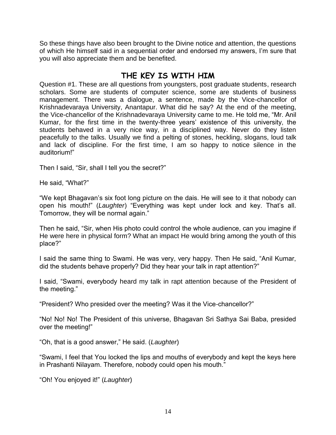So these things have also been brought to the Divine notice and attention, the questions of which He himself said in a sequential order and endorsed my answers, I"m sure that you will also appreciate them and be benefited.

#### **THE KEY IS WITH HIM**

Question #1. These are all questions from youngsters, post graduate students, research scholars. Some are students of computer science, some are students of business management. There was a dialogue, a sentence, made by the Vice-chancellor of Krishnadevaraya University, Anantapur. What did he say? At the end of the meeting, the Vice-chancellor of the Krishnadevaraya University came to me. He told me, "Mr. Anil Kumar, for the first time in the twenty-three years" existence of this university, the students behaved in a very nice way, in a disciplined way. Never do they listen peacefully to the talks. Usually we find a pelting of stones, heckling, slogans, loud talk and lack of discipline. For the first time, I am so happy to notice silence in the auditorium!"

Then I said, "Sir, shall I tell you the secret?"

He said, "What?"

"We kept Bhagavan"s six foot long picture on the dais. He will see to it that nobody can open his mouth!" (*Laughter*) "Everything was kept under lock and key. That"s all. Tomorrow, they will be normal again."

Then he said, "Sir, when His photo could control the whole audience, can you imagine if He were here in physical form? What an impact He would bring among the youth of this place?"

I said the same thing to Swami. He was very, very happy. Then He said, "Anil Kumar, did the students behave properly? Did they hear your talk in rapt attention?"

I said, "Swami, everybody heard my talk in rapt attention because of the President of the meeting."

"President? Who presided over the meeting? Was it the Vice-chancellor?"

"No! No! No! The President of this universe, Bhagavan Sri Sathya Sai Baba, presided over the meeting!"

"Oh, that is a good answer," He said. (*Laughter*)

"Swami, I feel that You locked the lips and mouths of everybody and kept the keys here in Prashanti Nilayam. Therefore, nobody could open his mouth."

"Oh! You enjoyed it!" (*Laughter*)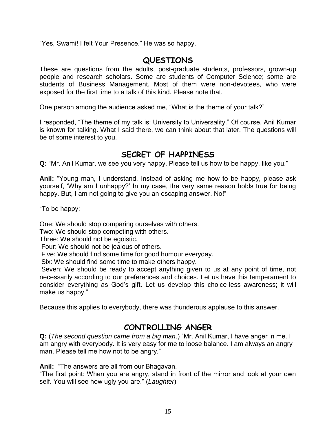"Yes, Swami! I felt Your Presence." He was so happy.

#### **QUESTIONS**

These are questions from the adults, post-graduate students, professors, grown-up people and research scholars. Some are students of Computer Science; some are students of Business Management. Most of them were non-devotees, who were exposed for the first time to a talk of this kind. Please note that.

One person among the audience asked me, "What is the theme of your talk?"

I responded, "The theme of my talk is: University to Universality." Of course, Anil Kumar is known for talking. What I said there, we can think about that later. The questions will be of some interest to you.

## **SECRET OF HAPPINESS**

**Q:** "Mr. Anil Kumar, we see you very happy. Please tell us how to be happy, like you."

**Anil:** "Young man, I understand. Instead of asking me how to be happy, please ask yourself, "Why am I unhappy?" In my case, the very same reason holds true for being happy. But, I am not going to give you an escaping answer. No!"

"To be happy:

One: We should stop comparing ourselves with others.

Two: We should stop competing with others.

Three: We should not be egoistic.

Four: We should not be jealous of others.

Five: We should find some time for good humour everyday.

Six: We should find some time to make others happy.

Seven: We should be ready to accept anything given to us at any point of time, not necessarily according to our preferences and choices. Let us have this temperament to consider everything as God"s gift. Let us develop this choice-less awareness; it will make us happy."

Because this applies to everybody, there was thunderous applause to this answer.

## **CONTROLLING ANGER**

**Q:** (*The second question came from a big man*.) "Mr. Anil Kumar, I have anger in me. I am angry with everybody. It is very easy for me to loose balance. I am always an angry man. Please tell me how not to be angry."

**Anil:** "The answers are all from our Bhagavan.

"The first point: When you are angry, stand in front of the mirror and look at your own self. You will see how ugly you are." (*Laughter*)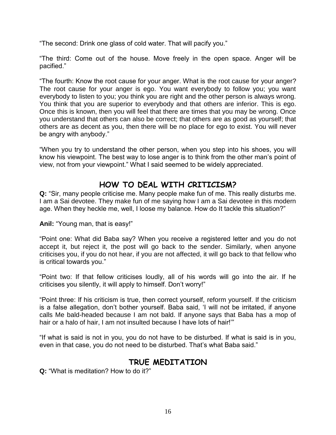"The second: Drink one glass of cold water. That will pacify you."

"The third: Come out of the house. Move freely in the open space. Anger will be pacified."

"The fourth: Know the root cause for your anger. What is the root cause for your anger? The root cause for your anger is ego. You want everybody to follow you; you want everybody to listen to you; you think you are right and the other person is always wrong. You think that you are superior to everybody and that others are inferior. This is ego. Once this is known, then you will feel that there are times that you may be wrong. Once you understand that others can also be correct; that others are as good as yourself; that others are as decent as you, then there will be no place for ego to exist. You will never be angry with anybody."

"When you try to understand the other person, when you step into his shoes, you will know his viewpoint. The best way to lose anger is to think from the other man"s point of view, not from your viewpoint." What I said seemed to be widely appreciated.

# **HOW TO DEAL WITH CRITICISM?**

**Q:** "Sir, many people criticise me. Many people make fun of me. This really disturbs me. I am a Sai devotee. They make fun of me saying how I am a Sai devotee in this modern age. When they heckle me, well, I loose my balance. How do It tackle this situation?"

**Anil:** "Young man, that is easy!"

"Point one: What did Baba say? When you receive a registered letter and you do not accept it, but reject it, the post will go back to the sender. Similarly, when anyone criticises you, if you do not hear, if you are not affected, it will go back to that fellow who is critical towards you."

"Point two: If that fellow criticises loudly, all of his words will go into the air. If he criticises you silently, it will apply to himself. Don"t worry!"

"Point three: If his criticism is true, then correct yourself, reform yourself. If the criticism is a false allegation, don"t bother yourself. Baba said, "I will not be irritated, if anyone calls Me bald-headed because I am not bald. If anyone says that Baba has a mop of hair or a halo of hair, I am not insulted because I have lots of hair!"

"If what is said is not in you, you do not have to be disturbed. If what is said is in you, even in that case, you do not need to be disturbed. That"s what Baba said."

#### **TRUE MEDITATION**

**Q:** "What is meditation? How to do it?"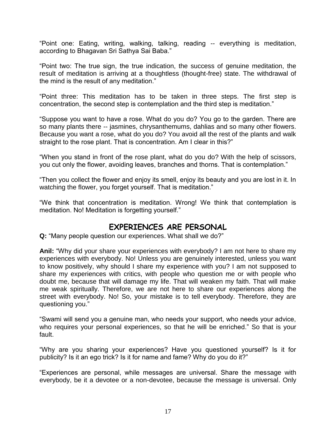"Point one: Eating, writing, walking, talking, reading -- everything is meditation, according to Bhagavan Sri Sathya Sai Baba."

"Point two: The true sign, the true indication, the success of genuine meditation, the result of meditation is arriving at a thoughtless (thought-free) state. The withdrawal of the mind is the result of any meditation."

"Point three: This meditation has to be taken in three steps. The first step is concentration, the second step is contemplation and the third step is meditation."

"Suppose you want to have a rose. What do you do? You go to the garden. There are so many plants there -- jasmines, chrysanthemums, dahlias and so many other flowers. Because you want a rose, what do you do? You avoid all the rest of the plants and walk straight to the rose plant. That is concentration. Am I clear in this?"

"When you stand in front of the rose plant, what do you do? With the help of scissors, you cut only the flower, avoiding leaves, branches and thorns. That is contemplation."

"Then you collect the flower and enjoy its smell, enjoy its beauty and you are lost in it. In watching the flower, you forget yourself. That is meditation."

"We think that concentration is meditation. Wrong! We think that contemplation is meditation. No! Meditation is forgetting yourself."

#### **EXPERIENCES ARE PERSONAL**

**Q:** "Many people question our experiences. What shall we do?"

**Anil:** "Why did your share your experiences with everybody? I am not here to share my experiences with everybody. No! Unless you are genuinely interested, unless you want to know positively, why should I share my experience with you? I am not supposed to share my experiences with critics, with people who question me or with people who doubt me, because that will damage my life. That will weaken my faith. That will make me weak spiritually. Therefore, we are not here to share our experiences along the street with everybody. No! So, your mistake is to tell everybody. Therefore, they are questioning you."

"Swami will send you a genuine man, who needs your support, who needs your advice, who requires your personal experiences, so that he will be enriched." So that is your fault.

"Why are you sharing your experiences? Have you questioned yourself? Is it for publicity? Is it an ego trick? Is it for name and fame? Why do you do it?"

"Experiences are personal, while messages are universal. Share the message with everybody, be it a devotee or a non-devotee, because the message is universal. Only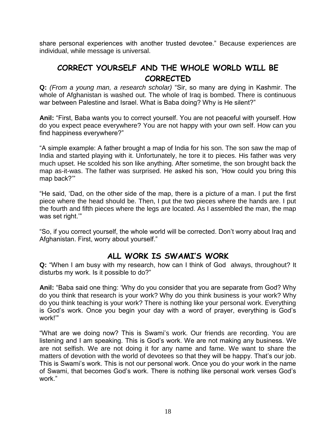share personal experiences with another trusted devotee." Because experiences are individual, while message is universal.

# **CORRECT YOURSELF AND THE WHOLE WORLD WILL BE CORRECTED**

**Q:** *(From a young man, a research scholar)* "Sir, so many are dying in Kashmir. The whole of Afghanistan is washed out. The whole of Iraq is bombed. There is continuous war between Palestine and Israel. What is Baba doing? Why is He silent?"

**Anil:** "First, Baba wants you to correct yourself. You are not peaceful with yourself. How do you expect peace everywhere? You are not happy with your own self. How can you find happiness everywhere?"

"A simple example: A father brought a map of India for his son. The son saw the map of India and started playing with it. Unfortunately, he tore it to pieces. His father was very much upset. He scolded his son like anything. After sometime, the son brought back the map as-it-was. The father was surprised. He asked his son, "How could you bring this map back?""

"He said, "Dad, on the other side of the map, there is a picture of a man. I put the first piece where the head should be. Then, I put the two pieces where the hands are. I put the fourth and fifth pieces where the legs are located. As I assembled the man, the map was set right.""

"So, if you correct yourself, the whole world will be corrected. Don"t worry about Iraq and Afghanistan. First, worry about yourself."

#### **ALL WORK IS SWAMI'S WORK**

**Q:** "When I am busy with my research, how can I think of God always, throughout? It disturbs my work. Is it possible to do?"

**Anil:** "Baba said one thing: "Why do you consider that you are separate from God? Why do you think that research is your work? Why do you think business is your work? Why do you think teaching is your work? There is nothing like your personal work. Everything is God"s work. Once you begin your day with a word of prayer, everything is God"s work!""

"What are we doing now? This is Swami"s work. Our friends are recording. You are listening and I am speaking. This is God"s work. We are not making any business. We are not selfish. We are not doing it for any name and fame. We want to share the matters of devotion with the world of devotees so that they will be happy. That's our job. This is Swami"s work. This is not our personal work. Once you do your work in the name of Swami, that becomes God"s work. There is nothing like personal work verses God"s work."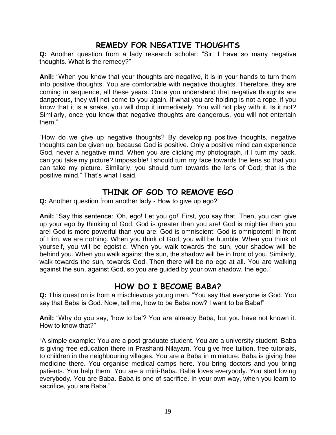#### **REMEDY FOR NEGATIVE THOUGHTS**

**Q:** Another question from a lady research scholar: "Sir, I have so many negative thoughts. What is the remedy?"

**Anil:** "When you know that your thoughts are negative, it is in your hands to turn them into positive thoughts. You are comfortable with negative thoughts. Therefore, they are coming in sequence, all these years. Once you understand that negative thoughts are dangerous, they will not come to you again. If what you are holding is not a rope, if you know that it is a snake, you will drop it immediately. You will not play with it. Is it not? Similarly, once you know that negative thoughts are dangerous, you will not entertain them."

"How do we give up negative thoughts? By developing positive thoughts, negative thoughts can be given up, because God is positive. Only a positive mind can experience God, never a negative mind. When you are clicking my photograph, if I turn my back, can you take my picture? Impossible! I should turn my face towards the lens so that you can take my picture. Similarly, you should turn towards the lens of God; that is the positive mind." That"s what I said.

## **THINK OF GOD TO REMOVE EGO**

**Q:** Another question from another lady - How to give up ego?"

Anil: "Say this sentence: 'Oh, ego! Let you go!' First, you say that. Then, you can give up your ego by thinking of God. God is greater than you are! God is mightier than you are! God is more powerful than you are! God is omniscient! God is omnipotent! In front of Him, we are nothing. When you think of God, you will be humble. When you think of yourself, you will be egoistic. When you walk towards the sun, your shadow will be behind you. When you walk against the sun, the shadow will be in front of you. Similarly, walk towards the sun, towards God. Then there will be no ego at all. You are walking against the sun, against God, so you are guided by your own shadow, the ego."

## **HOW DO I BECOME BABA?**

**Q:** This question is from a mischievous young man*.* "You say that everyone is God. You say that Baba is God. Now, tell me, how to be Baba now? I want to be Baba!"

**Anil:** "Why do you say, "how to be"? You *are* already Baba, but you have not known it. How to know that?"

"A simple example: You are a post-graduate student. You are a university student. Baba is giving free education there in Prashanti Nilayam. You give free tuition, free tutorials, to children in the neighbouring villages. You are a Baba in miniature. Baba is giving free medicine there. You organise medical camps here. You bring doctors and you bring patients. You help them. You are a mini-Baba. Baba loves everybody. You start loving everybody. You are Baba. Baba is one of sacrifice. In your own way, when you learn to sacrifice, you are Baba."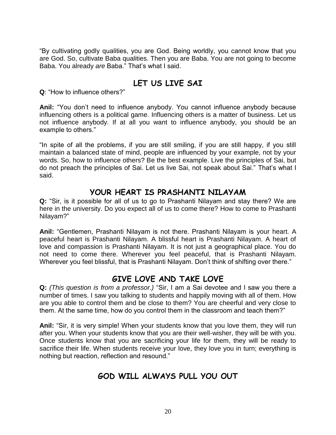"By cultivating godly qualities, you are God. Being worldly, you cannot know that you are God. So, cultivate Baba qualities. Then you are Baba. You are not going to become Baba. You already *are* Baba." That"s what I said.

# **LET US LIVE SAI**

**Q**: "How to influence others?"

**Anil:** "You don"t need to influence anybody. You cannot influence anybody because influencing others is a political game. Influencing others is a matter of business. Let us not influence anybody. If at all you want to influence anybody, you should be an example to others."

"In spite of all the problems, if you are still smiling, if you are still happy, if you still maintain a balanced state of mind, people are influenced by your example, not by your words. So, how to influence others? Be the best example. Live the principles of Sai, but do not preach the principles of Sai. Let us live Sai, not speak about Sai." That"s what I said.

#### **YOUR HEART IS PRASHANTI NILAYAM**

**Q:** "Sir, is it possible for all of us to go to Prashanti Nilayam and stay there? We are here in the university. Do you expect all of us to come there? How to come to Prashanti Nilayam?"

**Anil:** "Gentlemen, Prashanti Nilayam is not there. Prashanti Nilayam is your heart. A peaceful heart is Prashanti Nilayam. A blissful heart is Prashanti Nilayam. A heart of love and compassion is Prashanti Nilayam. It is not just a geographical place. You do not need to come there. Wherever you feel peaceful, that is Prashanti Nilayam. Wherever you feel blissful, that is Prashanti Nilayam. Don't think of shifting over there."

## **GIVE LOVE AND TAKE LOVE**

**Q:** *(This question is from a professor.)* "Sir, I am a Sai devotee and I saw you there a number of times. I saw you talking to students and happily moving with all of them. How are you able to control them and be close to them? You are cheerful and very close to them. At the same time, how do you control them in the classroom and teach them?"

**Anil:** "Sir, it is very simple! When your students know that you love them, they will run after you. When your students know that you are their well-wisher, they will be with you. Once students know that you are sacrificing your life for them, they will be ready to sacrifice their life. When students receive your love, they love you in turn; everything is nothing but reaction, reflection and resound."

## **GOD WILL ALWAYS PULL YOU OUT**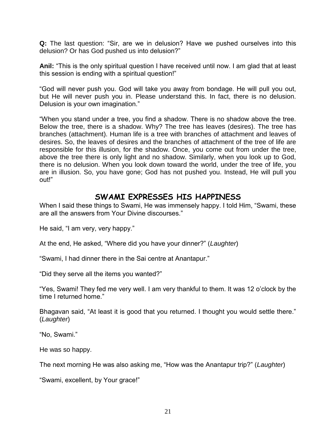**Q:** The last question: "Sir, are we in delusion? Have we pushed ourselves into this delusion? Or has God pushed us into delusion?"

**Anil:** "This is the only spiritual question I have received until now. I am glad that at least this session is ending with a spiritual question!"

"God will never push you. God will take you away from bondage. He will pull you out, but He will never push you in. Please understand this. In fact, there is no delusion. Delusion is your own imagination."

"When you stand under a tree, you find a shadow. There is no shadow above the tree. Below the tree, there is a shadow. Why? The tree has leaves (desires). The tree has branches (attachment). Human life is a tree with branches of attachment and leaves of desires. So, the leaves of desires and the branches of attachment of the tree of life are responsible for this illusion, for the shadow. Once, you come out from under the tree, above the tree there is only light and no shadow. Similarly, when you look up to God, there is no delusion. When you look down toward the world, under the tree of life, you are in illusion. So, you have gone; God has not pushed you. Instead, He will pull you out!"

#### **SWAMI EXPRESSES HIS HAPPINESS**

When I said these things to Swami, He was immensely happy. I told Him, "Swami, these are all the answers from Your Divine discourses."

He said, "I am very, very happy."

At the end, He asked, "Where did you have your dinner?" (*Laughter*)

"Swami, I had dinner there in the Sai centre at Anantapur."

"Did they serve all the items you wanted?"

"Yes, Swami! They fed me very well. I am very thankful to them. It was 12 o"clock by the time I returned home."

Bhagavan said, "At least it is good that you returned. I thought you would settle there." (*Laughter*)

"No, Swami."

He was so happy.

The next morning He was also asking me, "How was the Anantapur trip?" (*Laughter*)

"Swami, excellent, by Your grace!"